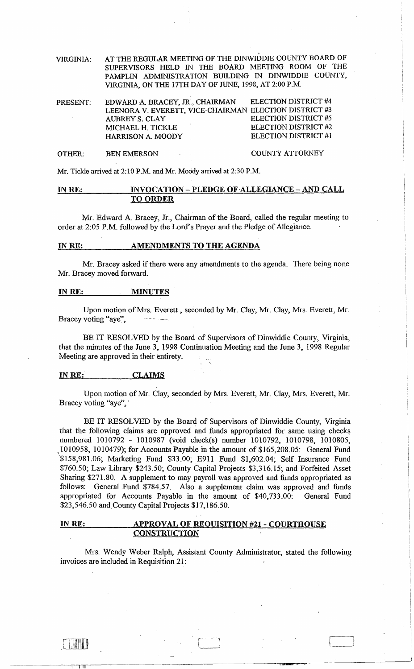VIRGINIA: AT THE REGULAR MEETING OF THE DINWIDDIE COUNTY BOARD OF SUPERVISORS HELD IN THE BOARD MEETING ROOM OF THE PAMPLIN ADMINISTRATION BUILDlNG IN DINWIDDIE COUNTY, VIRGINIA, ON THE 17TH DAY OF JUNE, 1998, AT 2:00 P.M.

| PRESENT: | EDWARD A. BRACEY, JR., CHAIRMAN<br>LEENORA V. EVERETT, VICE-CHAIRMAN ELECTION DISTRICT #3<br><b>AUBREY S. CLAY</b><br>MICHAEL H. TICKLE | <b>ELECTION DISTRICT #4</b><br><b>ELECTION DISTRICT #5</b><br><b>ELECTION DISTRICT #2</b> |
|----------|-----------------------------------------------------------------------------------------------------------------------------------------|-------------------------------------------------------------------------------------------|
|          | <b>HARRISON A. MOODY</b>                                                                                                                | <b>ELECTION DISTRICT #1</b>                                                               |
| OTHER:   | <b>BEN EMERSON</b><br>$\sim 10^{11}$ km s $^{-1}$ m s $^{-1}$ .                                                                         | <b>COUNTY ATTORNEY</b>                                                                    |

Mr. Tickle arrived at 2:10 P.M. and Mr. Moody arrived at 2:30 P.M.

## IN RE: INVOCATION - PLEDGE OF ALLEGIANCE - AND CALL TO ORDER

Mr. Edward A. Bracey, Jr., Chairman of the Board, called the regular meeting to order at 2:05 P.M. followed by the Lord's Prayer and the Pledge of Allegiance.

#### IN RE: AMENDMENTS TO THE AGENDA

Mr. Bracey asked if there were any amendments to the agenda. There being none Mr. Bracey moved forward.

#### INRE: MINUTES

Upon motion of Mrs. Everett, seconded by Mr. Clay, Mr. Clay, Mrs. Everett, Mr. Bracey voting "aye",

BE IT RESOLVED by the Board of Supervisors of Dinwiddie County, Virginia, that the minutes of the June 3, 1998 Continuation Meeting and the June 3, 1998 Regular Meeting are approved in their entirety.

i ..

#### INRE: CLAIMS

Upon motion of Mr. Clay, seconded by Mrs. Everett, Mr. Clay, Mrs. Everett, Mr. Bracey voting "aye",

BE IT RESOLVED by the Board of Supervisors of Dinwiddie County, Virginia that the following claims are approved and funds appropriated for same using checks numbered 1010792 - 1010987 (void check(s) number 1010792, 1010798, 1010805, '; 1010958, 1010479); for Accounts Payable in the amount of \$165,208.05: General Fund '\$158,981.06; Marketing Fund \$33.00; E911 Fund \$1,602.04; Self Insurance Fund \$760.50; Law Library ,\$243.50; County Capital Projects \$3,316.15; and Forfeited Asset Sharing \$27l.80. A supplement to may payroll was approved and funds appropriated as follows: General Fund \$784.57. Also a supplement claim was approved and funds appropriated for Accounts Payable in the amount of \$40,733.00: General Fund \$23,546.50 and,County Capital Projects \$17,186.50.

## INRE: APPROVAL OF REQUISITION #21 - COURTHOUSE **CONSTRUCTION**

Mrs. Wendy Weber Ralph, Assistant County Administrator, stated the following invoices are included in Requisition 21:

'---1

1111111\_1,.111 i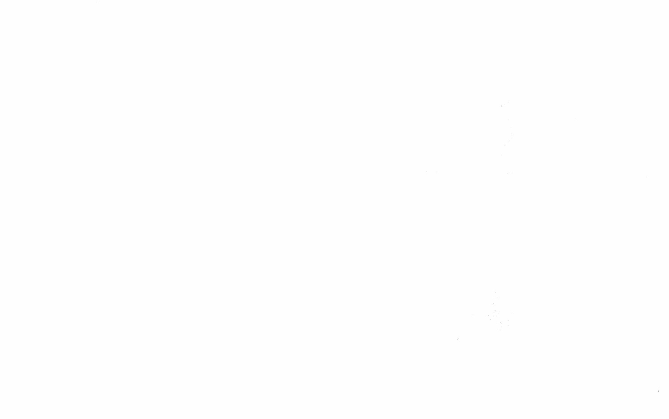$\mathcal{L}^{\mathcal{L}}_{\mathcal{L}}$  and the set of the set of the set of the set of the set of  $\mathcal{L}^{\mathcal{L}}$ 

 $\mathcal{L}^{\text{max}}_{\text{max}}$  and  $\mathcal{L}^{\text{max}}_{\text{max}}$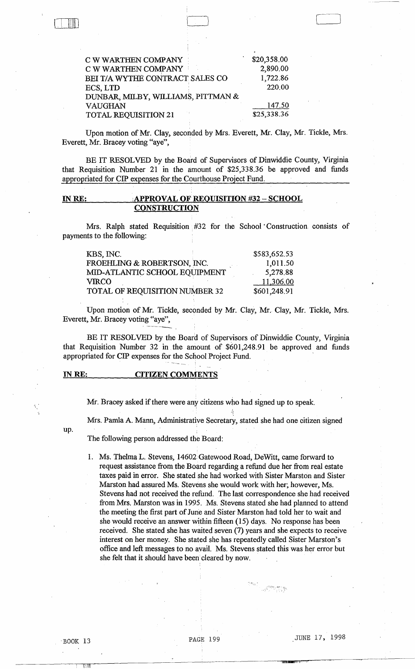| C W WARTHEN COMPANY                    | \$20,358.00 |
|----------------------------------------|-------------|
| C W WARTHEN COMPANY                    | 2,890.00    |
| <b>BEI T/A WYTHE CONTRACT SALES CO</b> | 1,722.86    |
| ECS, LTD                               | 220.00      |
| DUNBAR, MILBY, WILLIAMS, PITTMAN &     |             |
| <b>VAUGHAN</b>                         | 147.50      |
| <b>TOTAL REQUISITION 21</b>            | \$25,338.36 |
|                                        |             |

 $\left(\begin{array}{cc} 1 & 1 \\ 1 & 1 \end{array}\right)$ 

 $\bigl[$ 

Upon motion of Mr. Clay, seconded by Mrs. Everett, Mr. Clay, Mr. Tickle, Mrs. Everett, Mr. Bracey voting "aye", .

BE IT RESOLVED by the Board of Supervisors of Dinwiddie County, Virginia that Requisition Number 21 in the amount of \$25,338.36 be approved and funds appropriated for CIP expenses for the Courthouse Project Fund.

## IN RE: *APPROVAL OF REQUISITION #32 - SCHOOL* **CONSTRUCTION**

Mrs. Ralph stated Requisition #32 for the School Construction consists of payments to the following:

| KBS, INC.                             | \$583,652.53     |
|---------------------------------------|------------------|
| FROEHLING & ROBERTSON, INC.           | 1,011.50         |
| MID-ATLANTIC SCHOOL EQUIPMENT         | 5,278.88         |
| <b>VIRCO</b>                          | <u>11,306.00</u> |
| <b>TOTAL OF REQUISITION NUMBER 32</b> | \$601,248.91     |

Upon motion of Mr. Tickle, seconded by Mr. Clay, Mr. Clay, Mr. Tickle, Mrs. Everett, Mr. Bracey voting "aye",

BE IT RESOLVED by the Board of Supervisors of Dinwiddie County, Virginia that Requisition Number 32 in the amount of \$601,248.91 be approved and funds appropriated for CIP expenses for the School Project Fund.

#### INRE: CITIZEN COMMENTS

Mr. Bracey asked if there were any citizens who had signed up to speak.

I

I experimental control of the second Mrs. Pamla A. Mann, Administrative Secretary, stated she had one citizen signed

::;

up.

 $\begin{pmatrix} 1 & 1 & 1 \\ 1 & 1 & 1 \end{pmatrix}$ 

The following person addressed the Board:

1. Ms. Thelma L. Stevens, 14602. Gatewood Road, DeWitt, came forward to request assistance from the Board regarding a refund due her from real estate taxes paid in error. She stated she had worked with Sister Marston and Sister Marston had assured Ms. Stevens she would work with her; however, Ms. Stevens had not received the refund. The last correspondence she had received from Mrs. Marston was in 1995. Ms. Stevens stated she had planned to attend the meeting the first part of June and Sister Marston had told her to wait and she would receive an answer within fifteen (15) days. No response has been received. She stated she has waited seven (7) years and she expects to receive interest on her money. She stated she has repeatedly called Sister Marston's office and left messages to no avail. Ms. Stevens stated this was her error but she felt that it should have been cleared by now.

~r-

t**.m...**<br>Tanta tanàna amin'ny f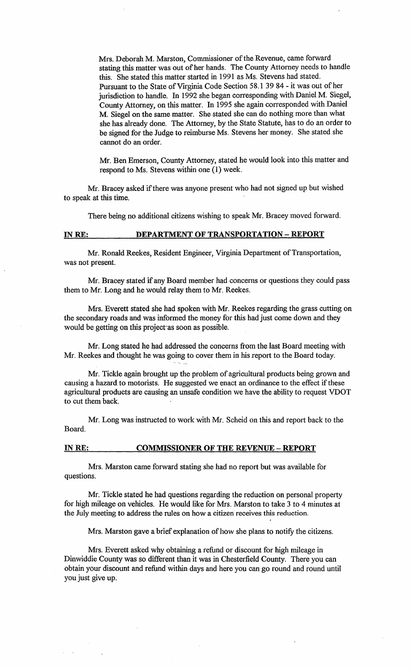Mrs. Deborah M. Marston, Commissioner of the Revenue, came forward stating this matter was out of her hands. The County Attorney needs to handle this. She stated this matter started in 1991 as Ms. Stevens had stated. Pursuant to the State of Virginia Code Section 58.1 3984 - it was out of her jurisdiction to handle. In 1992 she began corresponding with Daniel M. Siegel, County Attorney, on this matter. In 1995 she again corresponded with Daniel M. Siegel on the same matter. She stated she can do nothing more than what she has already done. The Attorney, by the State Statute, has to do an order to be signed for the Judge to reimburse Ms. Stevens her money. She stated she cannot do an order.

Mr. Ben Emerson, County Attorney, stated he would look into this matter and respond to Ms. Stevens within one (1) week.

Mr. Bracey asked if there was anyone present who had not signed up but wished to speak at this time.

There being no additional citizens wishing to speak Mr. Bracey moved forward.

### IN RE: DEPARTMENT OF TRANSPORTATION - REPORT

Mr. Ronald Reekes, Resident Engineer, Virginia Department of Transportation, was not present.

Mr. Bracey stated if any Board member had concerns or questions they could pass them to Mr. Long and he would relay them to Mr. Reekes.

Mrs. Everett stated she had spoken with Mr. Reekes regarding the grass cutting on the secondary roads and was informed the money for this had just come down and they would be getting on this projecras soon as possible.

Mr. Long stated he had addressed the concerns from the last Board meeting with Mr. Reekes and thought he was going to cover them in his report to the Board today.

Mr. Tickle again brought up the problem of agricultural products being grown and causing a hazard. to motorists. He suggested we enact an ordinance to the effect if these agricultural products are causing an unsafe condition we have the ability to request VDOT to cut them back.

Mr. Long was instructed to work with Mr. Scheid on this and report back to the Board.

## INRE: COMMISSIONER OF THE REVENUE - REPORT

Mrs. Marston came forward stating she had no report but was available for questions.

Mr. Tickle stated he had questions regarding the reduction on personal property for high mileage on vehicles. He would like for Mrs. Marston to take 3 to 4 minutes at the July meeting to address the rules on how a citizen receives this reduction.

Mrs. Marston gave a brief explanation of how she plans to notify the citizens.

Mrs. Everett asked why obtaining a refund or discount for high mileage in Dinwiddie County was so different than it was in Chesterfield County. There you can obtain your discount and refund within days and here you can go round and round until you just give up.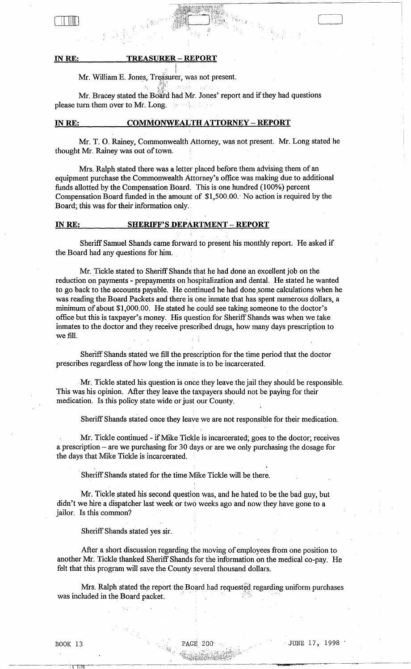$\begin{picture}(1,10) \put(0,0){\line(1,0){10}} \put(1,0){\line(1,0){10}} \put(1,0){\line(1,0){10}} \put(1,0){\line(1,0){10}} \put(1,0){\line(1,0){10}} \put(1,0){\line(1,0){10}} \put(1,0){\line(1,0){10}} \put(1,0){\line(1,0){10}} \put(1,0){\line(1,0){10}} \put(1,0){\line(1,0){10}} \put(1,0){\line(1,0){10}} \put(1,0){\line(1,0){10}} \put(1,0$ 

#### **INRE: TREASURER - REPORT**

I Mr. William E. Jones, Treasurer, was not present.

 $A = \frac{1}{2} \frac{d^2}{dx^2}$  , and the Mr. Bracey stated the Board had Mr. Jones' report and if they had questions please turn them over to Mr. Long. See the

## **INRE: COMMONWEALTH ATTORNEY - REPORT**

Mr. T. O. Rainey, Commonwealth Attorney, was not present. Mr. Long stated he thought Mr. Rainey was out of town.

Mrs. Ralph stated there was a letter placed before them advising them of an equipment purchase the Commonwealth Attorney's office was making due to additional funds allotted by the Compensation Board. This is one hundred (100%) percent Compensation Board funded in the amount of \$1,500.00: No action is required by the Board; this was for their information only.

### **INRE: SHERIFF'S DEPARTMENT - REPORT**

Sheriff Samuel Shands came forward to present his monthly report. He asked if the Board had any questions for him.

Mr. Tickle stated to Sheriff Shands that he had done an excellent job on the reduction on payments - prepayments on hospitalization and dental. He stated he wanted to go back to the accounts payable. He continued he had done ,some calculations when he was reading the Board Packets and there is one inmate that has spent numerous dollars, a minimum of about \$1,000.00. He stated he could see taking someone to the doctor's office but this is taxpayer's money. His question for Sheriff Shands was when we take inmates to the doctor and they receive prescribed drugs, how many days prescription to we fill.

Sheriff Shands stated we fill the prescription for the time period that the doctor prescribes regardless of how long the inmate is to be incarcerated.

Mr. Tickle stated his question is once they leave the jail they should be responsible. This was his opinion. After they leave the taxpayers should not be paying for their medication. Is this policy state wide or just our County.

Sheriff Shands stated once they leave we are not responsible for their medication.

Mr. Tickle continued - if Mike Tickle is incarcerated; goes to the doctor; receives a prescription - are we purchasing for 30 days or are we only purchasing the dosage for the days that Mike Tickle is incarcerated.

Sheriff Shands stated for the time Mike Tickle will be there.

Mr. Tickle stated his second question was, and he hated to be the bad guy, but didn't we hire a dispatcher last week or two weeks ago and now they have gone to a jailor. Is this common?

Sheriff Shands stated yes sir.

After a short discussion regarding the moving of employees from one position to another Mr. Tickle thanked Sheriff Shands for the information on the medical co-pay. He felt that this program will save the County several thousand dollars.

Mrs. Ralph stated the report the Board had requested regarding uniform purchases was included in the Board packet.

',[ii,"

C~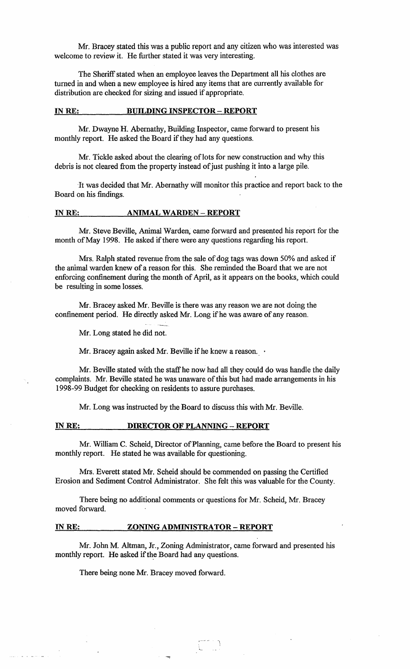Mr. Bracey stated this was a public report and any citizen who was interested was welcome to review it. He further stated it was very interesting.

The Sheriff stated when an employee leaves the Department all his clothes are turned in and when a new employee is hired any items that are currently available for distribution are checked for sizing and issued if appropriate.

## IN RE: BUILDING INSPECTOR – REPORT

Mr. Dwayne H. Abernathy, Building Inspector, came forward to present his monthly report. He asked the Board if they had any questions.

Mr. Tickle asked about the clearing of lots for new construction and why this debris is not cleared from the property instead of just pushing it into a large pile.

It was decided that Mr. Abernathy will monitor this practice and report back to the Board on his findings.

#### INRE: ANIMAL WARDEN - REPORT

Mr. Steve Beville, Animal Warden, came forward and presented his report for the month of May 1998. He asked if there were any questions regarding his report.

Mrs. Ralph stated revenue from the sale of dog tags was down 50% and asked if the animal warden knew of a reason for this. She reminded the Board that we are not enforcing confinement during the month of April, as it appears on the books, which could be resulting in some losses.

Mr. Bracey asked Mr. Beville is there was any reason we are not doing the confinement period. He directly asked Mr. Long ifhe was aware of any reason.

Mr. Long stated he did not.

Mr. Bracey again asked Mr. Beville if he knew a reason.

Mr. Beville stated with the staff he now had all they could do was handle the daily complaints. Mr. Beville stated he was unaware of this but had made arrangements in his 1998-99 Budget for checking on residents to assure purchases.

Mr. Long was instructed by the Board to discuss this with Mr. Beville.

### IN RE: DIRECTOR OF PLANNING - REPORT

Mr. William C. Scheid, Director of Planning, came before the Board to present his monthly report. He stated he was available for questioning.

Mrs. Everett stated Mr. Scheid should be commended on passing the Certified Erosion and Sediment Control Administrator. She felt this was valuable for the County.

There being no additional comments or questions for Mr. Scheid, Mr. Bracey moved forward.

#### INRE: ZONING ADMINISTRATOR - REPORT

""'I

Mr. John M. Altman, Jr., Zoning Administrator, came forward and presented his monthly report. He asked if the Board had any questions.

-I:

'--

There being none Mr. Bracey moved forward.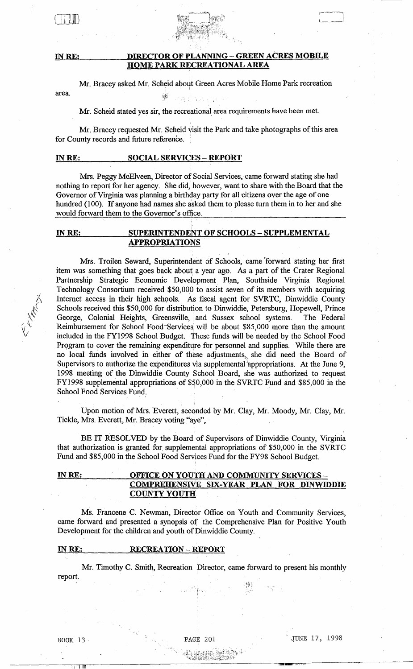

 $\bigotimes^{\textstyle\bigwedge\hspace{-0.1cm}\bigwedge\hspace{-0.1cm}^{-0.1cm}\hspace{-0.1cm}\bigwedge\hspace{-0.1cm}^{-0.1cm}\hspace{-0.1cm}\bigwedge\hspace{-0.1cm}$ 

 $\mathbb{X}^*$ 



Mr. Bracey asked Mr. Scheid about Green Acres Mobile Home Park recreation area.  $\log\hat{\beta}$ 

Mr. Scheid stated yes sir, the recreational area requirements have been met.

Mr. Bracey requested Mr. Scheid visit the Park and take photographs of this area for County records and future reference.

#### IN RE: SOCIAL SERVICES - REPORT

Mrs. Peggy McElveen, Director of Social Services, came forward stating she had nothing to report for her agency. She did,' however, want to share with the Board that the Governor of Virginia was planning a birthday party for all citizens over the age of one hundred (100). If anyone had names she asked them to please turn them in to her and she would forward them to the Governor's office. .

## IN RE: SUPERINTENDENT OF SCHOOLS - SUPPLEMENTAL APPROPRIATIONS

Mrs. Troilen Seward, Superintendent of Schools, came 'forward stating her first item was something that goes back about a year ago. As a part of the Crater Regional Partnership Strategic Economic Development Plan, Southside Virginia Regional Technology Consortium received \$50,000 to assist seven of its members with acquiring Internet access in their high schools. As fiscal agent for SVRTC, Dinwiddie County Schools received this \$50,000 for distribution to Dinwiddie, Petersburg, Hopewell, Prince George, Colonial Heights, Greensville, and Sussex school systems. The Federal George, Colonial Heights, Greensville, and Sussex school systems. Reimbursement for School Food-"Services will be about \$85,000 more than the amount included in the FY1998 School Budget. These funds will be needed by the School Food Program to cover the remaining expenditure for personnel and supplies. While there are no local funds involved in either of these adjustments, she did need the Board of Supervisors to authorize the expenditures via supplemental appropriations. At the June 9, 1998 meeting of the Dinwiddie County School Board, she was authorized to request FY1998 supplemental appropriations of \$50,000 in the SVRTC Fund and \$85,000 in the School Food Services Fund. .

Upon motion of Mrs. Everett, seconded by Mr. Clay, Mr. Moody, Mr. Clay, Mr. Tickle, Mrs. Everett, Mr. Bracey voting "aye",

BE IT RESOLVED by the Board of Supervisors of Dinwiddie County, Virginia that authorization is granted for, supplemental appropriations of \$50,000 in the SVRTC Fund and \$85,000 in the School Food Services Fund for the FY98 School Budget. ,

#### INRE: OFFICE ON YOUTH AND COMMUNITY SERVICES - COMPREHENSIVE SIX-YEAR PLAN FOR DINWIDDIE COUNTY YOUTH

Ms. Francene C. Newman, Director Office on Youth and Community Services, came forward and presented a synopsis of the Comprehensive Plan for Positive Youth Development for the children and youth of Dinwiddie County.

#### IN RE: RECREATION - REPORT

Mr. Timothy C. Smith, Recreation birector, came forward to present his monthly report.

I I \$'1111\ flm \_\_ t.lil"tj..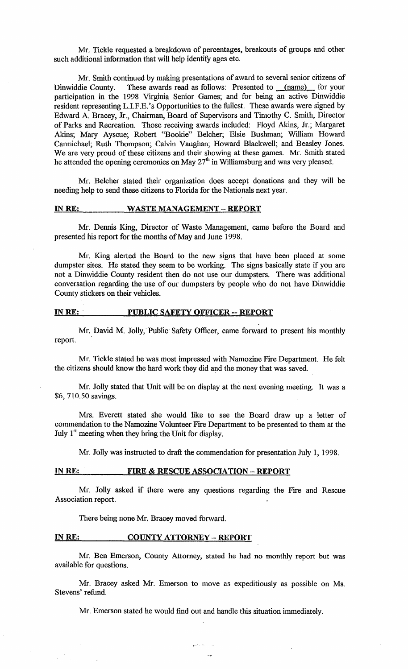Mr. Tickle requested a breakdown of percentages, breakouts of groups and other such additional information that will help identify ages etc.

Mr. Smith continued by making presentations of award to several senior citizens of Dinwiddie County. These awards read as follows: Presented to (name) for your participation in the 1998 Virginia Senior Games; and for being an active Dinwiddie resident representing L.I.F.E. 's Opportunities to the fullest. These awards were signed by Edward A. Bracey, Jr., Chairman, Board of Supervisors and Timothy C. Smith, Director of Parks and Recreation. Those receiving awards included: Floyd Akins, Jr.; Margaret Akins; Mary Ayscue; Robert "Bookie" Belcher; Elsie Bushman; William Howard Carmichael; Ruth Thompson; Calvin Vaughan; Howard Blackwell; and Beasley Jones. We are very proud of these citizens and their showing at these games. Mr. Smith stated he attended the opening ceremonies on May 27<sup>th</sup> in Williamsburg and was very pleased.

Mr. Belcher stated their organization does accept donations and they will be needing help to send these citizens to Florida for the Nationals next year.

## INRE: WASTE MANAGEMENT - REPORT

Mr. Dennis King, Director of Waste Management, came before the Board and presented his report for the months of May and June 1998.

Mr. King alerted the Board to the new signs that have been placed at some dumpster sites. He stated they seem to be working. The signs basically state if you are not a Dinwiddie County resident then do not use our dumpsters. There was additional conversation regarding the use of our dumpsters by people who do not have Dinwiddie County stickers on their vehicles.

#### IN RE: PUBLIC SAFETY OFFICER -- REPORT

Mr. David M. Jolly, Public Safety Officer, came forward to present his monthly report.

Mr. Tickle stated he was most impressed with Namozine Fire Department. He felt the citizens should know the hard work they did and the money that was saved.

Mr. Jolly stated that Unit will be on display at the next evening meeting. It was a \$6, 710.50 savings.

Mrs. Everett stated she would like to see the Board draw up a letter of commendation to the Namozine Volunteer Fire Department to be presented to them at the July  $1<sup>st</sup>$  meeting when they bring the Unit for display.

Mr. Jolly was instructed to draft the commendation for presentation July 1, 1998.

#### IN RE: FIRE & RESCUE ASSOCIATION - REPORT

Mr. Jolly asked if there were any questions regarding the Fire and Rescue Association report.

There being none Mr. Bracey moved forward.

#### IN RE: COUNTY ATTORNEY - REPORT

Mr. Ben Emerson, County Attorney, stated he had no monthly report but was available for questions.

Mr. Bracey asked Mr. Emerson to move as expeditiously as possible on Ms. Stevens' refund.

Mr. Emerson stated he would find out and handle this situation immediately.

r---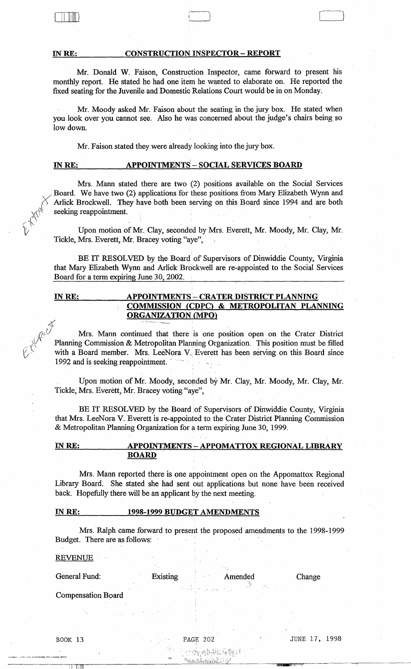$\Box$ 

### IN RE: CONSTRUCTION INSPECTOR - REPORT

Mr. Donald W. Faison, Construction Inspector, came forward to present his monthly report. He stated he had one item he wanted to elaborate on. He reported the fixed seating for the Juvenile and Domestic Relations Court would be in on Monday.

Mr. Moody asked Mr. Faison about the seating in the jury box. He stated when you look over you cannot see. Also he was concerned about the judge's chairs being so low down.

Mr. Faison stated they were already looking into the jury box.

#### IN RE: APPOINTMENTS - SOCIAL SERVICES BOARD

Mrs. Mann stated there are two (2) positions available on the Social Services Board. We have two (2) applications for these positions from Mary Elizabeth Wynn and Arlick Brockwell. They have both been serving on this Board since 1994 and are both seeking reappointment.

Upon motion of Mr. Clay, seconded by Mrs. Everett, Mr. Moody, Mr. Clay, Mr. Tickle, Mrs. Everett, Mr. Bracey voting "aye",

BE IT RESOLVED by the Board' of Supervisors of Dinwiddie County, Virginia that Mary Elizabeth Wynn and Arlick Brockwell are re-appointed to the Social Services Board for a term expiring June 30, 2002.

## INRE: APPOINTMENTS- CRATER DISTRICT PLANNING COMMISSION (CDPC) & METROPOLITAN PLANNING ORGANIZATION (MPO)

Mrs. Mann continued that there is one position open on the Crater District Planning Commission & Metropolitan Planning Organization. This position must be filled with a Board member. Mrs. LeeNora V. Everett has been serving on this Board since 1992 and is seeking reappointment.

Upon motion of Mr. Moody, seconded by Mr. Clay, Mr. Moody, Mr. Clay, Mr. Tickle, Mrs. Everett, Mr. Bracey voting "aye",

BE IT RESOLVED by the Board of Supervisors of Dinwiddie County, Virginia that Mrs. LeeNora V. Everett is re-appointed to the Crater District Planning Commission & Metropolitan Planning Organization for a term expiring June 30, 1999.

## IN RE: APPOINTMENTS - APPOMATTOX REGIONAL LIBRARY **BOARD**

Mrs. Mann reported there is one appointment open on the Appomattox Regional Library Board. She stated she had sent out applications but none have been received back. Hopefully there will be an applicant by the next meeting.

#### INRE: 1998-1999 BUDGET AMENDMENTS

 $\label{eq:3.1} \begin{array}{lllllllllllllll} \mathbb{E}[\mathbf{A}^{\text{in}}_{\mathbf{A}}] & \mathbb{E}[\mathbf{A}^{\text{in}}_{\mathbf{A}}] & \mathbb{E}[\mathbf{A}^{\text{in}}_{\mathbf{A}}] & \mathbb{E}[\mathbf{A}^{\text{in}}_{\mathbf{A}}] & \mathbb{E}[\mathbf{A}^{\text{in}}_{\mathbf{A}}] & \mathbb{E}[\mathbf{A}^{\text{in}}_{\mathbf{A}}] & \mathbb{E}[\mathbf{A}^{\text{in}}_{\mathbf{A}}] & \mathbb{E}[\math$ 

Mrs. Ralph came forward to present the proposed amendments to the 1998-1999 Budget. There are as follows:

#### REVENUE

General Fund: . Existing Amended Change I Compensation Board

 $\frac{1}{1}$  . The contract of the contract of the contract of  $\frac{1}{2}$  ,  $\frac{1}{2}$  ,  $\frac{1}{2}$  ,  $\frac{1}{2}$  ,  $\frac{1}{2}$  ,  $\frac{1}{2}$  ,  $\frac{1}{2}$  ,  $\frac{1}{2}$  ,  $\frac{1}{2}$  ,  $\frac{1}{2}$  ,  $\frac{1}{2}$  ,  $\frac{1}{2}$  ,  $\frac{1}{2}$  ,  $\frac{1$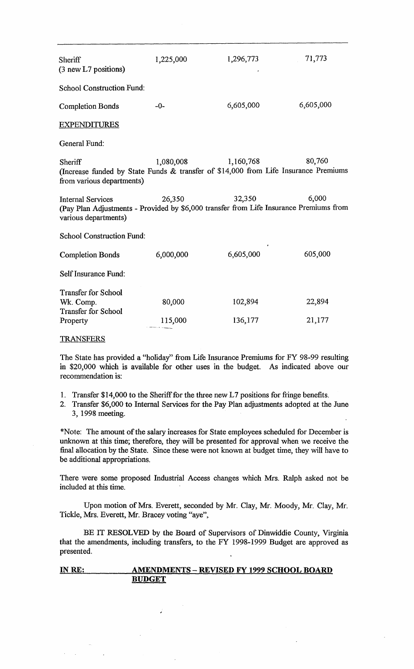| 1,225,000 | 1,296,773 | 71,773                                                                                                                                                                        |
|-----------|-----------|-------------------------------------------------------------------------------------------------------------------------------------------------------------------------------|
|           |           |                                                                                                                                                                               |
| -0-       | 6,605,000 | 6,605,000                                                                                                                                                                     |
|           |           |                                                                                                                                                                               |
|           |           |                                                                                                                                                                               |
| 1,080,008 | 1,160,768 | 80,760                                                                                                                                                                        |
| 26,350    | 32,350    | 6,000                                                                                                                                                                         |
|           |           |                                                                                                                                                                               |
| 6,000,000 | 6,605,000 | 605,000                                                                                                                                                                       |
|           |           |                                                                                                                                                                               |
| 80,000    | 102,894   | 22,894                                                                                                                                                                        |
| 115,000   | 136,177   | 21,177                                                                                                                                                                        |
|           |           | (Increase funded by State Funds & transfer of \$14,000 from Life Insurance Premiums<br>(Pay Plan Adjustments - Provided by \$6,000 transfer from Life Insurance Premiums from |

#### **TRANSFERS**

The State has provided a "holiday" from Life Insurance Premiums for FY 98-99 resulting in \$20,000 which is available for other uses in the budget. As indicated above our recommendation is:

- 1. Transfer \$14,000 to the Sheriff for the three new L7 positions for fringe benefits.
- 2. Transfer \$6,000 to Internal Services for the Pay Plan adjustments adopted at the June 3, 1998 meeting.

\*Note: The amount of the salary increases for State employees scheduled for December is unknown at this time; therefore, they will be presented for approval when we receive the final allocation by the State. Since these were not known at budget time, they will have to be additional appropriations.

There were some proposed Industrial Access changes which Mrs. Ralph asked not be included at this time.

Upon motion of Mrs. Everett, seconded by Mr. Clay, Mr. Moody, Mr. Clay, Mr. Tickle, Mrs. Everett, Mr. Bracey voting "aye",

BE IT RESOLVED by the Board of Supervisors of Dinwiddie County, Virginia that the amendments, including transfers, to the FY 1998-1999 Budget are approved as presented.

**INRE: AMENDMENTS - REVISED FY 1999 SCHOOL BOARD BUDGET**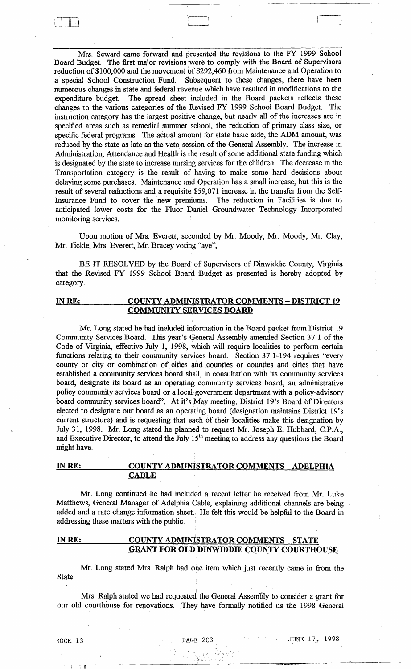$\overline{a}$  ,  $\overline{a}$  ,  $\overline{a}$  ,  $\overline{a}$  ,  $\overline{a}$  ,  $\overline{a}$  ,  $\overline{a}$  ,  $\overline{a}$  ,  $\overline{a}$  ,  $\overline{a}$  ,  $\overline{a}$  ,  $\overline{a}$  ,  $\overline{a}$  ,  $\overline{a}$  ,  $\overline{a}$  ,  $\overline{a}$  ,  $\overline{a}$  ,  $\overline{a}$  ,  $\overline{a}$  ,  $\overline{a}$  ,

Mrs. Seward came forward and presented the revisions to the FY 1999 School Board Budget. The first major revisions were to comply with the Board of Supervisors reduction of\$100,000 and the movement of \$292,460 from Maintenance and Operation to a special School Construction Fund. Subsequent to these changes, there have been numerous changes in state and federal revenue which have resulted in modifications to the expenditure budget. The spread sheet included in the Board packets reflects these changes to the various categories of the Revised FY 1999 School Board Budget. The instmction category has the largest positive change, but nearly all of the increases are in specified areas such as remedial summer' school, the reduction of primary class size, or specific federal programs. The actual amount for state basic aide, the ADM amount, was reduced by the state as late as the veto session of the General Assembly. The increase in Administration, Attendance and Health is the result of some additional state funding which is designated by the state to increase nursing services for the children. The decrease in the Transportation category is the result of having to make some hard decisions about delaying some purchases. Maintenance and Operation has a small increase, but this is the result of several reductions and a requisite \$59,071 increase in the transfer from the Self-Insurance Fund to cover the new premiums. The reduction in Facilities is due to anticipated lower costs for the Fluor Daniel Groundwater Technology Incorporated monitoring services.

Upon motion of Mrs. Everett, seconded by Mr. Moody, Mr. Moody, Mr. Clay, Mr. Tickle, Mrs. Everett, Mr. Bracey voting "aye",

BE IT RESOLVED by the Board of Supervisors of Dinwiddie County, Virginia that the Revised FY 1999 School Board Budget as presented is hereby adopted by category.

#### INRE: COUNTY ADMINISTRATOR COMMENTS - DISTRICT 19 COMMUNITY SERVICES BOARD

Mr. Long stated he had included information in the Board packet from District 19 Community Services Board. This year's General Assembly amended Section 37.1 of the Code of Virginia, effective July 1, 1998, which will require localities to perform certain functions relating to their community services board. Section 37.1-194 requires "every county or city or combination of cities and counties or counties and cities that have established a community services board shall, in consultation with its community services board, designate its board as an operating community services board, an administrative policy community services board or a iocal government department with a policy-advisory board community services board". At it's May meeting, District 19's Board of Directors elected to designate our board as an operating board (designation maintains District 19's current structure) and is requesting that each of their localities make this designation by July 31, 1998. Mr. Long stated he planned to request Mr. Joseph E. Hubbard, C.P.A., and Executive Director, to attend the July  $15<sup>th</sup>$  meeting to address any questions the Board might have.

## INRE: COUNTY ADMINISTRATOR COMMENTS - ADELPHIA **CABLE**

Mr. Long continued he had included a recent letter he received from Mr. Luke Matthews, General Manager of Adelphia Cable, explaining additional channels are being added and a rate change information sheet. He felt this would be helpful to the Board in addressing these matters with the public.

## IN RE: COUNTY ADMINISTRATOR COMMENTS - STATE GRANT FOR OLD DINWIDDIE COUNTY COURTHOUSE

Mr. Long stated Mrs. Ralph had one item which just recently came in from the State.

Mrs. Ralph stated we had requested the General Assembly to consider a grant for our old courthouse for renovations. They have formally notified us the 1998 General

, .

li;m~'

BOOK 13 **PAGE 203** PAGE 203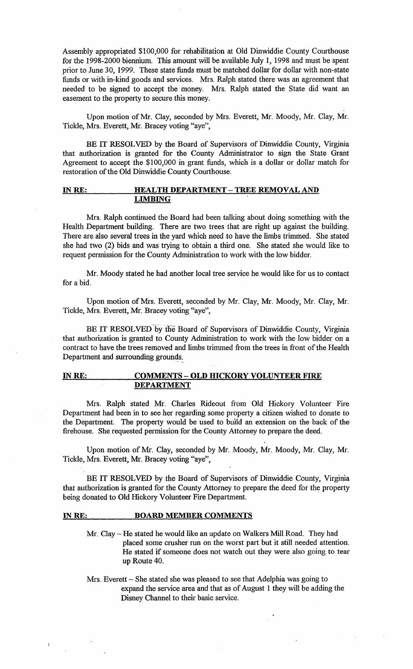Assembly appropriated \$100,000 for rehabilitation at Old Dinwiddie County Courthouse for the 1998-2000 biennium. This amount will be available July 1, 1998 and must be spent prior to June 30, 1999. These state funds must be matched dollar for dollar with non-state funds or with in-kind goods and services. Mrs. Ralph stated there was an agreement that needed to be signed to accept the money. Mrs. Ralph stated the State did want an easement to the property to secure this money.

Upon motion of Mr. Clay, seconded by Mrs. Everett, Mr. Moody, Mr. Clay, Mr. Tickle, Mrs. Everett, Mr. Bracey voting "aye",

BE IT RESOLVED by the Board of Supervisors of Dinwiddie County, Virginia that authorization is granted for the County Administrator to sign the State Grant Agreement to accept the \$100,000 in grant funds, which is a dollar or dollar match for restoration of the Old Dinwiddie County Courthouse.

## IN RE: **HEALTH DEPARTMENT - TREE REMOVAL AND LIMBING**

Mrs. Ralph continued the Board had been talking about doing something with the Health Department building. There are two trees that are right up against the building. There are also several trees in the yard which need to have the limbs trimmed. She stated she had two (2) bids and was trying to obtain a third one. She stated she would like to request permission for the County Administration to work with the low bidder.

Mr. Moody stated he had another local tree service he would like for us to contact for a bid.

Upon motion of Mrs. Everett, seconded by Mr. Clay, Mr. Moody, Mr. Clay, Mr. Tickle, Mrs. Everett, Mr. Bracey voting "aye",

BE IT RESOLVED by the Board of Supervisors of Dinwiddie County, Virginia that authorization is granted to County Administration to work with the low bidder on a contract to have the trees removed and limbs trimmed from the trees in front of the Health Department and surrounding grounds.

## IN RE: COMMENTS - OLD HICKORY VOLUNTEER FIRE DEPARTMENT

Mrs. Ralph stated Mr. Charles Rideout from Old Hickory Volunteer Fire Department had been in to see her regarding some property a citizen wished to donate to the Department. The property would be used to build an extension on the back of the firehouse. She requested permission for the County Attorney to prepare the deed.

Upon motion of Mr. Clay, seconded by Mr. Moody, Mr. Moody, Mr. Clay, Mr. Tickle, Mrs. Everett, Mr. Bracey voting "aye",

BE IT RESOLVED by the Board of Supervisors of Dinwiddie County, Virginia that authorization is granted for the County Attorney to prepare the deed for the property being donated to Old Hickory Volunteer Fire Department.

## INRE: BOARD MEMBER COMMENTS

Mr. Clay - He stated he would like an update on Walkers Mill Road. They had placed some crusher run on the worst part but it still needed attention. He stated if someone does not watch out they were also going to tear up Route 40.

Mrs. Everett - She stated she was pleased to see that Adelphia was going to expand the service area and that as of August 1 they will be adding the Disney Channel to their basic service.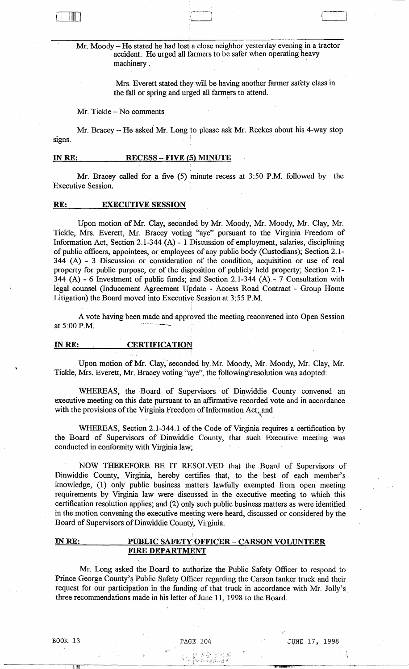$\Box$ 

Mr. Moody – He stated he had lost a close neighbor yesterday evening in a tractor accident. He urged all farmers to be safer when operating heavy machinery. .

> Mrs. Everett stated they will be having another farmer safety class in the fall or spring and urged all farmers to attend.

Mr. Tickle - No comments

signs. Mr. Bracey - He asked Mr. Long to please ask Mr. Reekes about his 4-way stop

#### INRE: RECESS - FIVE (5) MINUTE

Mr. Bracey called for a five (5) minute recess at 3:50 P.M. followed by the Executive Session.

#### RE: EXECUTIVE SESSION

, Upon motion of Mr. Clay, seconded by Mr. Moody, Mr. Moody, Mr. Clay, Mr. Tickle, Mrs. Everett, Mr. Bracey voting "aye" pursuant to the Virginia Freedom of Information Act, Section 2.1-344 (A) - 1 Discussion of employment, salaries, disciplining of public officers, appointees, or employees of any public body (Custodians); Section 2.1- 344 (A) - 3 Discussion or consideration of the condition, acquisition or use of real property for public purpose, or of the disposition of publicly held property; Section 2.1- 344 (A) - 6 Investment of public funds; and Section 2.1-344 (A) - 7 Consultation with legal counsel (Inducement Agreement Update - Access Road Contract - Group Home Litigation) the Board moved into Executive Session at 3:55 P.M.

A vote having been made and approved the meeting reconvened into Open Session at 5:00 P.M.

#### IN RE: CERTIFICATION

Upon motion of Mr. Clay, seconded by Mr. Moody, Mr. Moody, Mr. Clay, Mr. Tickle, Mrs. Everett, Mr. Bracey voting "aye", the following resolution was adopted:

WHEREAS, the Board of Supervisors of Dinwiddie County convened an executive meeting on this date pursuant to an affirmative recorded vote and in accordance with the provisions of the Virginia Freedom of Information Act; and

WHEREAS, Section 2.1-344.1 of the Code of Virginia requires a certification by the Board of Supervisors of Dinwiddie County, that such Executive meeting was conducted in conformity with Virginia law;

NOW THEREFORE BE IT RESOLVED that the Board of Supervisors of Dinwiddie County, Virginia, hereby certifies that, to the best of each member's knowledge, (1) only public business matters lawfully exempted from open meeting requirements by Virginia law Were discussed in the executive meeting to which this certification resolution applies; and (2) only such public business matters as were identified in the motion convening the executive meeting were heard, discussed or considered by the Board of Supervisors of Dinwiddie County, Virginia.

## INRE: PUBLIC SAFETY OFFICER - CARSON VOLUNTEER FIRE DEPARTMENT

Mr. Long asked the Board to authorize the Public Safety Officer to respond to Prince George County's Public Safety Officer regarding the Carson tanker truck and their request for our participation in the funding of that truck in accordance with Mr. Jolly's three recommendations made in his letter of June 11, 1998 to the Board.

,r

 $\cdots$ 

. Also in the contract of the contract of the contract of the contract of the contract of the contract of the contract of the contract of the contract of the contract of the contract of the contract of the contract of the